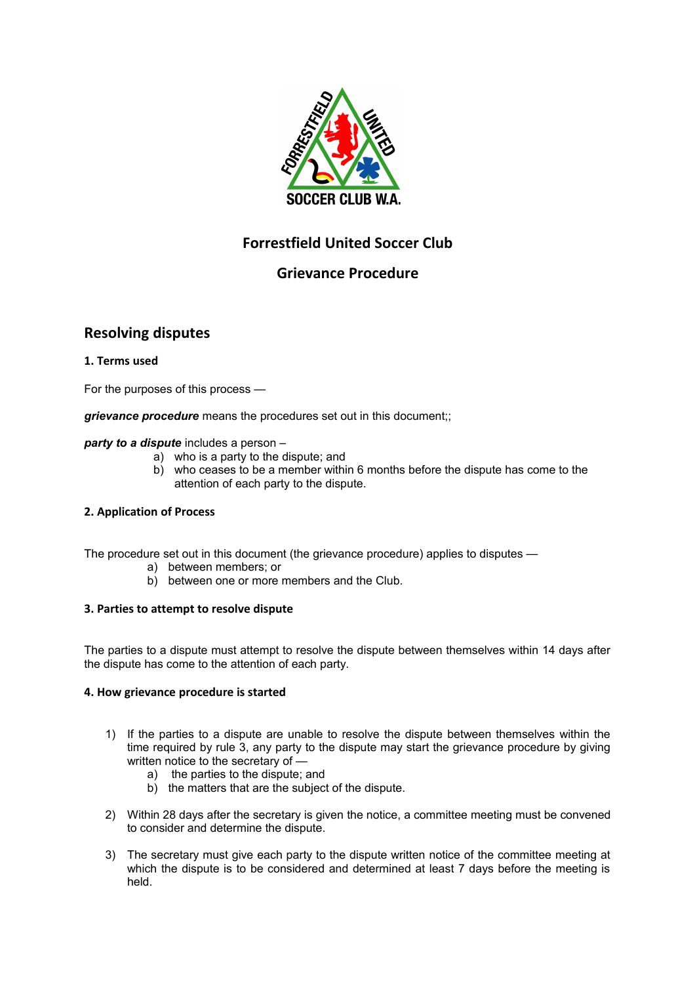

# **Forrestfield United Soccer Club**

# **Grievance Procedure**

# **Resolving disputes**

# **1. Terms used**

For the purposes of this process —

*grievance procedure* means the procedures set out in this document;;

#### *party to a dispute* includes a person –

- a) who is a party to the dispute; and
- b) who ceases to be a member within 6 months before the dispute has come to the attention of each party to the dispute.

# **2. Application of Process**

The procedure set out in this document (the grievance procedure) applies to disputes —

- a) between members; or
- b) between one or more members and the Club.

# **3. Parties to attempt to resolve dispute**

The parties to a dispute must attempt to resolve the dispute between themselves within 14 days after the dispute has come to the attention of each party.

#### **4. How grievance procedure is started**

- 1) If the parties to a dispute are unable to resolve the dispute between themselves within the time required by rule 3, any party to the dispute may start the grievance procedure by giving written notice to the secretary of
	- a) the parties to the dispute; and
	- b) the matters that are the subject of the dispute.
- 2) Within 28 days after the secretary is given the notice, a committee meeting must be convened to consider and determine the dispute.
- 3) The secretary must give each party to the dispute written notice of the committee meeting at which the dispute is to be considered and determined at least 7 days before the meeting is held.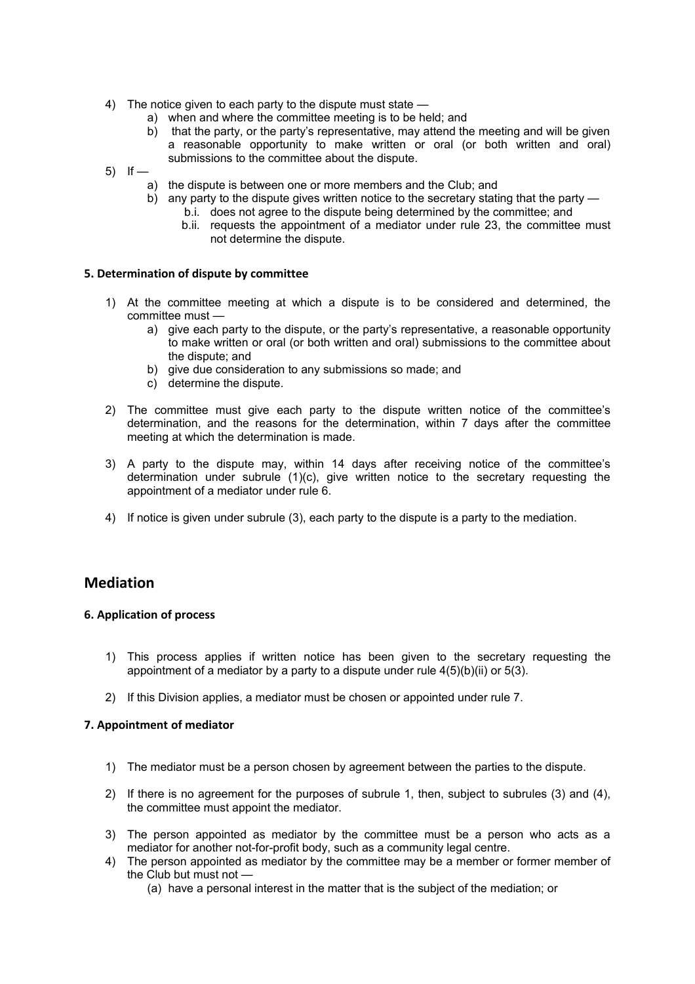- 4) The notice given to each party to the dispute must state
	- a) when and where the committee meeting is to be held; and
	- b) that the party, or the party's representative, may attend the meeting and will be given a reasonable opportunity to make written or oral (or both written and oral) submissions to the committee about the dispute.
- 5) If  $$ 
	- a) the dispute is between one or more members and the Club; and
	- b) any party to the dispute gives written notice to the secretary stating that the party b.i. does not agree to the dispute being determined by the committee; and
		- b.ii. requests the appointment of a mediator under rule 23, the committee must
		- not determine the dispute.

#### **5. Determination of dispute by committee**

- 1) At the committee meeting at which a dispute is to be considered and determined, the committee must
	- a) give each party to the dispute, or the party's representative, a reasonable opportunity to make written or oral (or both written and oral) submissions to the committee about the dispute; and
	- b) give due consideration to any submissions so made; and
	- c) determine the dispute.
- 2) The committee must give each party to the dispute written notice of the committee's determination, and the reasons for the determination, within 7 days after the committee meeting at which the determination is made.
- 3) A party to the dispute may, within 14 days after receiving notice of the committee's determination under subrule (1)(c), give written notice to the secretary requesting the appointment of a mediator under rule 6.
- 4) If notice is given under subrule (3), each party to the dispute is a party to the mediation.

# **Mediation**

# **6. Application of process**

- 1) This process applies if written notice has been given to the secretary requesting the appointment of a mediator by a party to a dispute under rule  $4(5)(b)(ii)$  or  $5(3)$ .
- 2) If this Division applies, a mediator must be chosen or appointed under rule 7.

# **7. Appointment of mediator**

- 1) The mediator must be a person chosen by agreement between the parties to the dispute.
- 2) If there is no agreement for the purposes of subrule 1, then, subject to subrules (3) and (4), the committee must appoint the mediator.
- 3) The person appointed as mediator by the committee must be a person who acts as a mediator for another not-for-profit body, such as a community legal centre.
- 4) The person appointed as mediator by the committee may be a member or former member of the Club but must not —
	- (a) have a personal interest in the matter that is the subject of the mediation; or